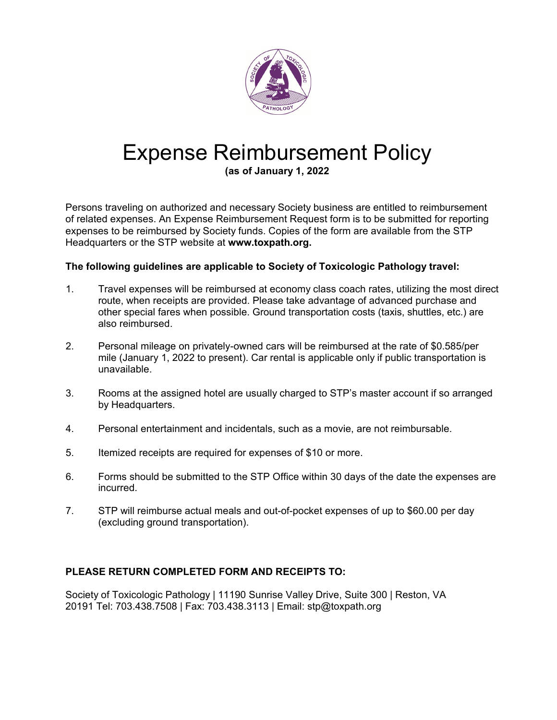

## Expense Reimbursement Policy

**(as of January 1, 2022**

Persons traveling on authorized and necessary Society business are entitled to reimbursement of related expenses. An Expense Reimbursement Request form is to be submitted for reporting expenses to be reimbursed by Society funds. Copies of the form are available from the STP Headquarters or the STP website at **[www.toxpath.org.](https://toxpath.org/docs/forms/STP_Expense.pdf)**

## **The following guidelines are applicable to Society of Toxicologic Pathology travel:**

- 1. Travel expenses will be reimbursed at economy class coach rates, utilizing the most direct route, when receipts are provided. Please take advantage of advanced purchase and other special fares when possible. Ground transportation costs (taxis, shuttles, etc.) are also reimbursed.
- 2. Personal mileage on privately-owned cars will be reimbursed at the rate of \$0.585/per mile (January 1, 2022 to present). Car rental is applicable only if public transportation is unavailable.
- 3. Rooms at the assigned hotel are usually charged to STP's master account if so arranged by Headquarters.
- 4. Personal entertainment and incidentals, such as a movie, are not reimbursable.
- 5. Itemized receipts are required for expenses of \$10 or more.
- 6. Forms should be submitted to the STP Office within 30 days of the date the expenses are incurred.
- 7. STP will reimburse actual meals and out-of-pocket expenses of up to \$60.00 per day (excluding ground transportation).

## **PLEASE RETURN COMPLETED FORM AND RECEIPTS TO:**

Society of Toxicologic Pathology | 11190 Sunrise Valley Drive, Suite 300 | Reston, VA 20191 Tel: 703.438.7508 | Fax: 703.438.3113 | Email: stp@toxpath.org